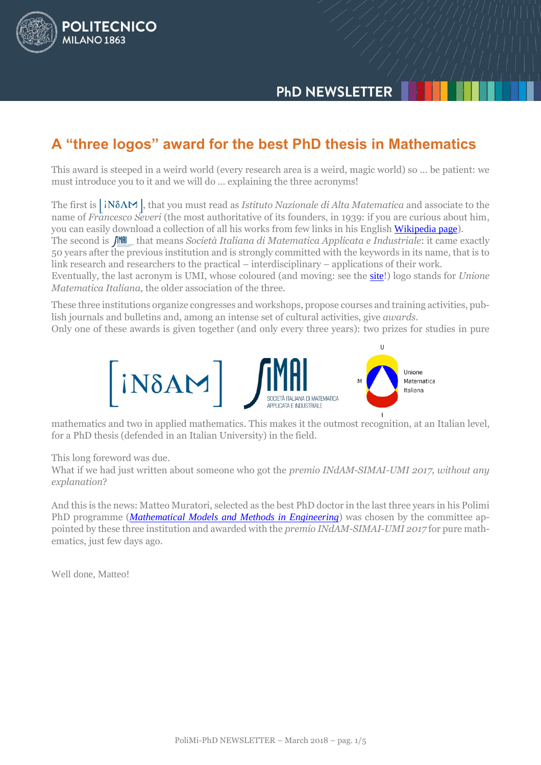# **PHD NEWSLETTER**

# **A "three logos" award for the best PhD thesis in Mathematics**

This award is steeped in a weird world (every research area is a weird, magic world) so … be patient: we must introduce you to it and we will do … explaining the three acronyms!

The first is *iN&AM*, that you must read as *Istituto Nazionale di Alta Matematica* and associate to the name of *Francesco Severi* (the most authoritative of its founders, in 1939: if you are curious about him, you can easily download a collection of all his works from few links in his English [Wikipedia page](https://en.wikipedia.org/wiki/Francesco_Severi)).

The second is  $\int_M M dl$  that means *Società Italiana di Matematica Applicata e Industriale*: it came exactly 50 years after the previous institution and is strongly committed with the keywords in its name, that is to link research and researchers to the practical – interdisciplinary – applications of their work.

Eventually, the last acronym is UMI, whose coloured (and moving: see the [site](mailto:http://umi.dm.unibo.it/)!) logo stands for *Unione Matematica Italiana*, the older association of the three.

These three institutions organize congresses and workshops, propose courses and training activities, publish journals and bulletins and, among an intense set of cultural activities, give *awards*.

Only one of these awards is given together (and only every three years): two prizes for studies in pure



mathematics and two in applied mathematics. This makes it the outmost recognition, at an Italian level, for a PhD thesis (defended in an Italian University) in the field.

This long foreword was due.

POLITECNICO

**MILANO 1863** 

What if we had just written about someone who got the *premio INdAM-SIMAI-UMI 2017, without any explanation*?

And this is the news: Matteo Muratori, selected as the best PhD doctor in the last three years in his Polimi PhD programme (*[Mathematical Models and](http://www.dottorato.polimi.it/en/phd-programmes/active-phd-programmes/mathematical-models-and-methods-in-engineering/) Methods in Engineering*) was chosen by the committee appointed by these three institution and awarded with the *premio INdAM-SIMAI-UMI 2017* for pure mathematics, just few days ago.

Well done, Matteo!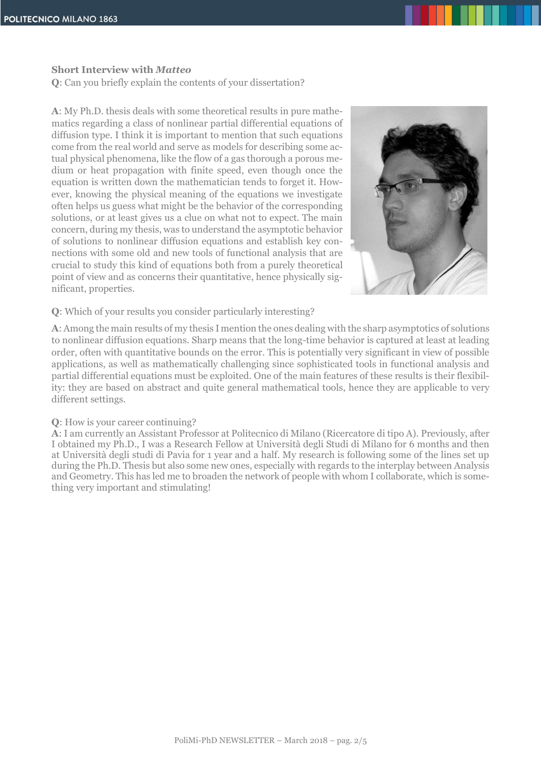### **Short Interview with** *Matteo*

**Q**: Can you briefly explain the contents of your dissertation?

**A**: My Ph.D. thesis deals with some theoretical results in pure mathematics regarding a class of nonlinear partial differential equations of diffusion type. I think it is important to mention that such equations come from the real world and serve as models for describing some actual physical phenomena, like the flow of a gas thorough a porous medium or heat propagation with finite speed, even though once the equation is written down the mathematician tends to forget it. However, knowing the physical meaning of the equations we investigate often helps us guess what might be the behavior of the corresponding solutions, or at least gives us a clue on what not to expect. The main concern, during my thesis, was to understand the asymptotic behavior of solutions to nonlinear diffusion equations and establish key connections with some old and new tools of functional analysis that are crucial to study this kind of equations both from a purely theoretical point of view and as concerns their quantitative, hence physically significant, properties.



#### **Q**: Which of your results you consider particularly interesting?

**A**: Among the main results of my thesis I mention the ones dealing with the sharp asymptotics of solutions to nonlinear diffusion equations. Sharp means that the long-time behavior is captured at least at leading order, often with quantitative bounds on the error. This is potentially very significant in view of possible applications, as well as mathematically challenging since sophisticated tools in functional analysis and partial differential equations must be exploited. One of the main features of these results is their flexibility: they are based on abstract and quite general mathematical tools, hence they are applicable to very different settings.

#### **Q**: How is your career continuing?

**A**: I am currently an Assistant Professor at Politecnico di Milano (Ricercatore di tipo A). Previously, after I obtained my Ph.D., I was a Research Fellow at Università degli Studi di Milano for 6 months and then at Università degli studi di Pavia for 1 year and a half. My research is following some of the lines set up during the Ph.D. Thesis but also some new ones, especially with regards to the interplay between Analysis and Geometry. This has led me to broaden the network of people with whom I collaborate, which is something very important and stimulating!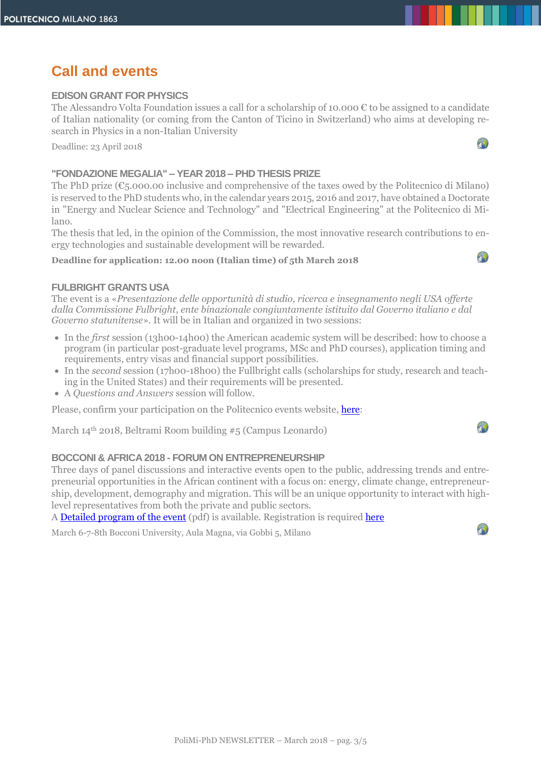# **Call and events**

### **EDISON GRANT FOR PHYSICS**

The Alessandro Volta Foundation issues a call for a scholarship of 10.000 € to be assigned to a candidate of Italian nationality (or coming from the Canton of Ticino in Switzerland) who aims at developing research in Physics in a non-Italian University

Deadline: 23 April 2018

#### **"FONDAZIONE MEGALIA" – YEAR 2018 – PHD THESIS PRIZE**

The PhD prize  $(\epsilon_5.000.00$  inclusive and comprehensive of the taxes owed by the Politecnico di Milano) is reserved to the PhD students who, in the calendar years 2015, 2016 and 2017, have obtained a Doctorate in "Energy and Nuclear Science and Technology" and "Electrical Engineering" at the Politecnico di Milano.

The thesis that led, in the opinion of the Commission, the most innovative research contributions to energy technologies and sustainable development will be rewarded.

#### **Deadline for application: 12.00 noon (Italian time) of 5th March 2018**



 $\mathcal{P}$ 

#### **FULBRIGHT GRANTS USA**

The event is a «*Presentazione delle opportunità di studio, ricerca e insegnamento negli USA offerte dalla Commissione Fulbright, ente binazionale congiuntamente istituito dal Governo italiano e dal Governo statunitense*». It will be in Italian and organized in two sessions:

- In the *first* session (13h00-14h00) the American academic system will be described: how to choose a program (in particular post-graduate level programs, MSc and PhD courses), application timing and requirements, entry visas and financial support possibilities.
- In the *second* session (17h00-18h00) the Fullbright calls (scholarships for study, research and teaching in the United States) and their requirements will be presented.
- A *Questions and Answers* session will follow.

Please, confirm your participation on the Politecnico events website, [here:](https://www.eventi.polimi.it/events/borse-di-studio-fulbright-italy/)

March 14th 2018, Beltrami Room building #5 (Campus Leonardo)

## **BOCCONI & AFRICA 2018 - FORUM ON ENTREPRENEURSHIP**

Three days of panel discussions and interactive events open to the public, addressing trends and entrepreneurial opportunities in the African continent with a focus on: energy, climate change, entrepreneurship, development, demography and migration. This will be an unique opportunity to interact with highlevel representatives from both the private and public sectors.

A [Detailed program of the event](http://www.dottorato.polimi.it/fileadmin/files/dottorato/newsletter/allegati/2018-03/InvitationBocconi_Africa678March.pdf) (pdf) is available. Registration is required [here](https://urldefense.proofpoint.com/v2/url?u=https-3A__www.unibocconi.eu_wps_wcm_connect_ev_Events_Bocconi-2BEvents_AFRICA-2BFORUM-2BON-2BENTREPRENEURSHIP&d=DwMFaQ&c=FBDxcbzoOyrhTF5sA9rzVA&r=k4GPeBNfv6ll6eQWzJmysqC6U1iREnJYZk2IE0cpwMY&m=YNQIxaIDf1zMq28u8VsppoRFotK9atxoH0i1WaWOHxo&s=BEhwoYqndPgbYJlxLA1FymUW8LILlR6uvCeQSZd7SbY&e=)

March 6-7-8th Bocconi University, Aula Magna, via Gobbi 5, Milano

4)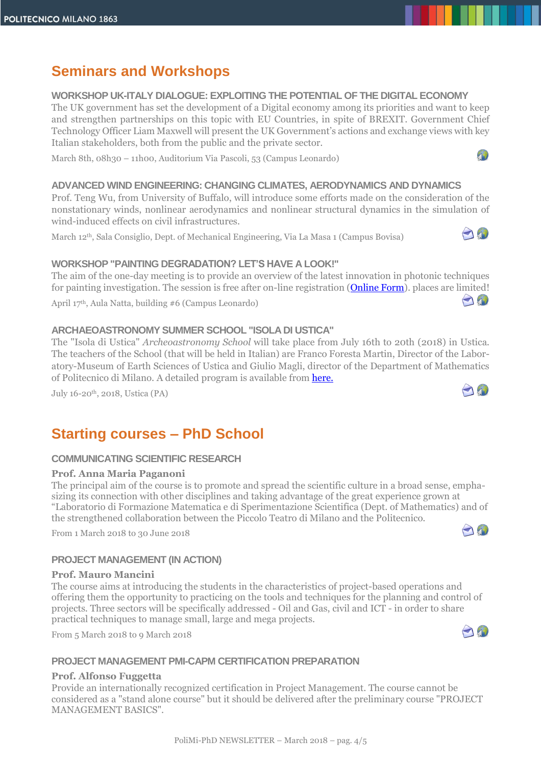# **Seminars and Workshops**

**WORKSHOP UK-ITALY DIALOGUE: EXPLOITING THE POTENTIAL OF THE DIGITAL ECONOMY**

The UK government has set the development of a Digital economy among its priorities and want to keep and strengthen partnerships on this topic with EU Countries, in spite of BREXIT. Government Chief Technology Officer Liam Maxwell will present the UK Government's actions and exchange views with key Italian stakeholders, both from the public and the private sector.

March 8th, 08h30 – 11h00, Auditorium Via Pascoli, 53 (Campus Leonardo)

#### **ADVANCED WIND ENGINEERING: CHANGING CLIMATES, AERODYNAMICS AND DYNAMICS**

Prof. Teng Wu, from University of Buffalo, will introduce some efforts made on the consideration of the nonstationary winds, nonlinear aerodynamics and nonlinear structural dynamics in the simulation of wind-induced effects on civil infrastructures.

March 12th, Sala Consiglio, Dept. of Mechanical Engineering, Via La Masa 1 (Campus Bovisa)



AND

 $T_{\bullet}$ 

## **WORKSHOP "PAINTING DEGRADATION? LET'S HAVE A LOOK!"**

The aim of the one-day meeting is to provide an overview of the latest innovation in photonic techniques for painting investigation. The session is free after on-line registration (**Online Form**). places are limited!

April 17th, Aula Natta, building #6 (Campus Leonardo)

#### **ARCHAEOASTRONOMY SUMMER SCHOOL "ISOLA DI USTICA"**

The "Isola di Ustica" *Archeoastronomy School* will take place from July 16th to 20th (2018) in Ustica. The teachers of the School (that will be held in Italian) are Franco Foresta Martin, Director of the Laboratory-Museum of Earth Sciences of Ustica and Giulio Magli, director of the Department of Mathematics of Politecnico di Milano. A detailed program is available from [here.](http://www.dottorato.polimi.it/fileadmin/files/dottorato/newsletter/allegati/2018-01/CORSO_DI_ARCHEOASTRONOMIA_2018.pdf)

July 16-20th, 2018, Ustica (PA)

# **Starting courses – PhD School**

#### **COMMUNICATING SCIENTIFIC RESEARCH**

#### **Prof. Anna Maria Paganoni**

The principal aim of the course is to promote and spread the scientific culture in a broad sense, emphasizing its connection with other disciplines and taking advantage of the great experience grown at "Laboratorio di Formazione Matematica e di Sperimentazione Scientifica (Dept. of Mathematics) and of the strengthened collaboration between the Piccolo Teatro di Milano and the Politecnico.

From 1 March 2018 to 30 June 2018

## $\bigcap$

## **PROJECT MANAGEMENT (IN ACTION)**

#### **Prof. Mauro Mancini**

The course aims at introducing the students in the characteristics of project-based operations and offering them the opportunity to practicing on the tools and techniques for the planning and control of projects. Three sectors will be specifically addressed - Oil and Gas, civil and ICT - in order to share practical techniques to manage small, large and mega projects.

From 5 March 2018 to 9 March 2018



#### **PROJECT MANAGEMENT PMI-CAPM CERTIFICATION PREPARATION**

#### **Prof. Alfonso Fuggetta**

Provide an internationally recognized certification in Project Management. The course cannot be considered as a "stand alone course" but it should be delivered after the preliminary course "PROJECT MANAGEMENT BASICS".